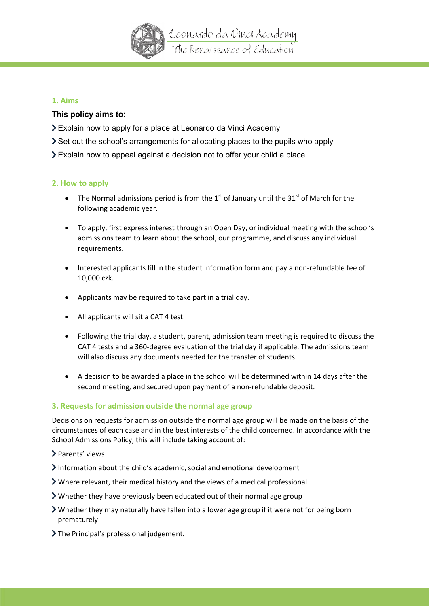

# **1. Aims**

# **This policy aims to:**

- Explain how to apply for a place at Leonardo da Vinci Academy
- Set out the school's arrangements for allocating places to the pupils who apply
- Explain how to appeal against a decision not to offer your child a place

# **2. How to apply**

- The Normal admissions period is from the  $1<sup>st</sup>$  of January until the 31 $<sup>st</sup>$  of March for the</sup> following academic year.
- To apply, first express interest through an Open Day, or individual meeting with the school's admissions team to learn about the school, our programme, and discuss any individual requirements.
- Interested applicants fill in the student information form and pay a non-refundable fee of 10,000 czk.
- Applicants may be required to take part in a trial day.
- All applicants will sit a CAT 4 test.
- Following the trial day, a student, parent, admission team meeting is required to discuss the CAT 4 tests and a 360-degree evaluation of the trial day if applicable. The admissions team will also discuss any documents needed for the transfer of students.
- A decision to be awarded a place in the school will be determined within 14 days after the second meeting, and secured upon payment of a non-refundable deposit.

# **3. Requests for admission outside the normal age group**

Decisions on requests for admission outside the normal age group will be made on the basis of the circumstances of each case and in the best interests of the child concerned. In accordance with the School Admissions Policy, this will include taking account of:

- Parents' views
- Information about the child's academic, social and emotional development
- Where relevant, their medical history and the views of a medical professional
- Whether they have previously been educated out of their normal age group
- $\triangleright$  Whether they may naturally have fallen into a lower age group if it were not for being born prematurely
- > The Principal's professional judgement.